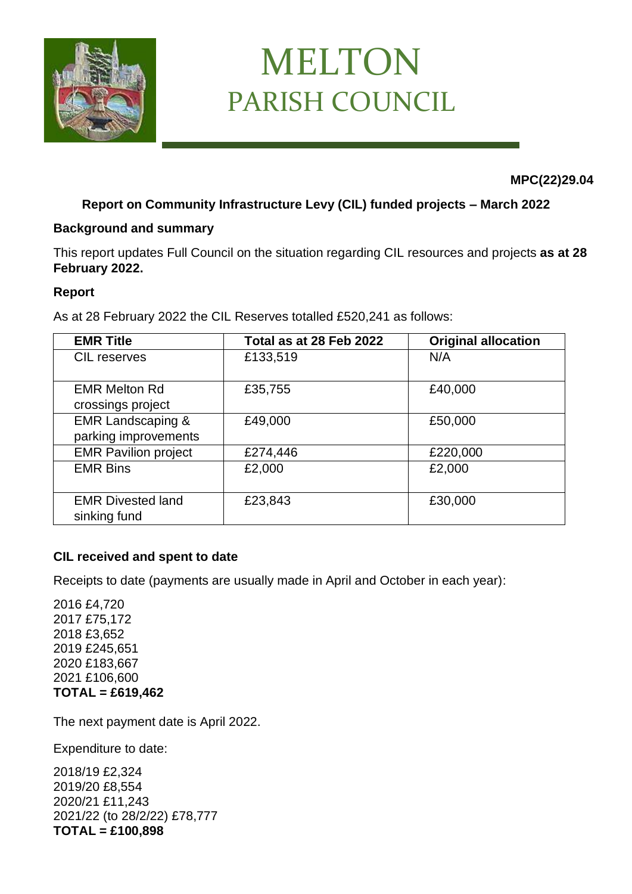

# MELTON PARISH COUNCIL

 **MPC(22)29.04**

# **Report on Community Infrastructure Levy (CIL) funded projects – March 2022**

#### **Background and summary**

This report updates Full Council on the situation regarding CIL resources and projects **as at 28 February 2022.**

#### **Report**

As at 28 February 2022 the CIL Reserves totalled £520,241 as follows:

| <b>EMR Title</b>                                     | Total as at 28 Feb 2022 | <b>Original allocation</b> |
|------------------------------------------------------|-------------------------|----------------------------|
| <b>CIL</b> reserves                                  | £133,519                | N/A                        |
| <b>EMR Melton Rd</b><br>crossings project            | £35,755                 | £40,000                    |
| <b>EMR Landscaping &amp;</b><br>parking improvements | £49,000                 | £50,000                    |
| <b>EMR Pavilion project</b>                          | £274,446                | £220,000                   |
| <b>EMR Bins</b>                                      | £2,000                  | £2,000                     |
| <b>EMR Divested land</b><br>sinking fund             | £23,843                 | £30,000                    |

#### **CIL received and spent to date**

Receipts to date (payments are usually made in April and October in each year):

2016 £4,720 2017 £75,172 2018 £3,652 2019 £245,651 2020 £183,667 2021 £106,600 **TOTAL = £619,462**

The next payment date is April 2022.

Expenditure to date:

2018/19 £2,324 2019/20 £8,554 2020/21 £11,243 2021/22 (to 28/2/22) £78,777 **TOTAL = £100,898**